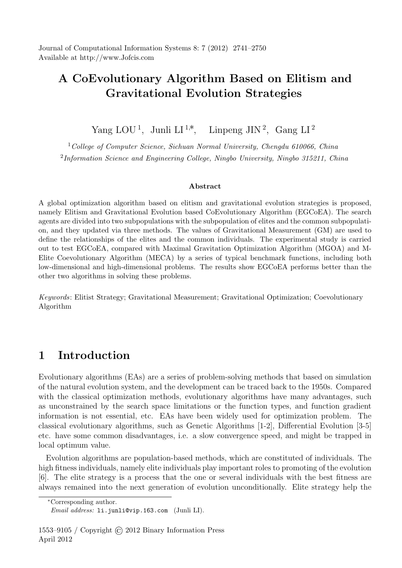Journal of Computational Information Systems 8: 7 (2012) 2741–2750 Available at http://www.Jofcis.com

# **A CoEvolutionary Algorithm Based on Elitism and Gravitational Evolution Strategies**

Yang LOU<sup>1</sup>, Junli LI<sup>1,∗</sup>, Linpeng JIN<sup>2</sup>, Gang LI<sup>2</sup>

<sup>1</sup>*College of Computer Science, Sichuan Normal University, Chengdu 610066, China* 2 *Information Science and Engineering College, Ningbo University, Ningbo 315211, China*

#### **Abstract**

A global optimization algorithm based on elitism and gravitational evolution strategies is proposed, namely Elitism and Gravitational Evolution based CoEvolutionary Algorithm (EGCoEA). The search agents are divided into two subpopulations with the subpopulation of elites and the common subpopulation, and they updated via three methods. The values of Gravitational Measurement (GM) are used to define the relationships of the elites and the common individuals. The experimental study is carried out to test EGCoEA, compared with Maximal Gravitation Optimization Algorithm (MGOA) and M-Elite Coevolutionary Algorithm (MECA) by a series of typical benchmark functions, including both low-dimensional and high-dimensional problems. The results show EGCoEA performs better than the other two algorithms in solving these problems.

*Keywords*: Elitist Strategy; Gravitational Measurement; Gravitational Optimization; Coevolutionary Algorithm

## **1 Introduction**

Evolutionary algorithms (EAs) are a series of problem-solving methods that based on simulation of the natural evolution system, and the development can be traced back to the 1950s. Compared with the classical optimization methods, evolutionary algorithms have many advantages, such as unconstrained by the search space limitations or the function types, and function gradient information is not essential, etc. EAs have been widely used for optimization problem. The classical evolutionary algorithms, such as Genetic Algorithms [1-2], Differential Evolution [3-5] etc. have some common disadvantages, i.e. a slow convergence speed, and might be trapped in local optimum value.

Evolution algorithms are population-based methods, which are constituted of individuals. The high fitness individuals, namely elite individuals play important roles to promoting of the evolution [6]. The elite strategy is a process that the one or several individuals with the best fitness are always remained into the next generation of evolution unconditionally. Elite strategy help the

*<sup>∗</sup>*Corresponding author.

*Email address:* li.junli@vip.163.com (Junli LI).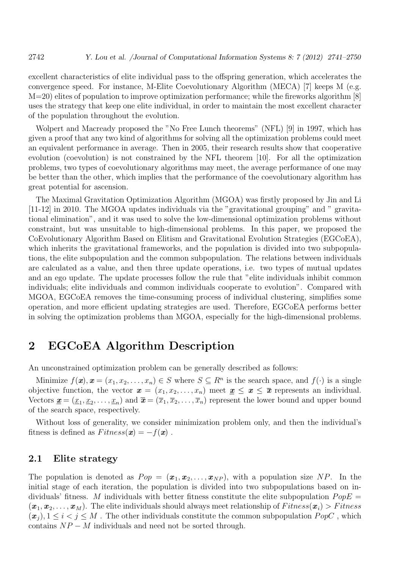excellent characteristics of elite individual pass to the offspring generation, which accelerates the convergence speed. For instance, M-Elite Coevolutionary Algorithm (MECA) [7] keeps M (e.g. M=20) elites of population to improve optimization performance; while the fireworks algorithm [8] uses the strategy that keep one elite individual, in order to maintain the most excellent character of the population throughout the evolution.

Wolpert and Macready proposed the "No Free Lunch theorems" (NFL) [9] in 1997, which has given a proof that any two kind of algorithms for solving all the optimization problems could meet an equivalent performance in average. Then in 2005, their research results show that cooperative evolution (coevolution) is not constrained by the NFL theorem [10]. For all the optimization problems, two types of coevolutionary algorithms may meet, the average performance of one may be better than the other, which implies that the performance of the coevolutionary algorithm has great potential for ascension.

The Maximal Gravitation Optimization Algorithm (MGOA) was firstly proposed by Jin and Li [11-12] in 2010. The MGOA updates individuals via the "gravitational grouping" and " gravitational elimination", and it was used to solve the low-dimensional optimization problems without constraint, but was unsuitable to high-dimensional problems. In this paper, we proposed the CoEvolutionary Algorithm Based on Elitism and Gravitational Evolution Strategies (EGCoEA), which inherits the gravitational frameworks, and the population is divided into two subpopulations, the elite subpopulation and the common subpopulation. The relations between individuals are calculated as a value, and then three update operations, i.e. two types of mutual updates and an ego update. The update processes follow the rule that "elite individuals inhibit common individuals; elite individuals and common individuals cooperate to evolution". Compared with MGOA, EGCoEA removes the time-consuming process of individual clustering, simplifies some operation, and more efficient updating strategies are used. Therefore, EGCoEA performs better in solving the optimization problems than MGOA, especially for the high-dimensional problems.

## **2 EGCoEA Algorithm Description**

An unconstrained optimization problem can be generally described as follows:

Minimize  $f(\mathbf{x}), \mathbf{x} = (x_1, x_2, \dots, x_n) \in S$  where  $S \subseteq R^n$  is the search space, and  $f(\cdot)$  is a single objective function, the vector  $x = (x_1, x_2, \ldots, x_n)$  meet  $\underline{x} \leq x \leq \overline{x}$  represents an individual. Vectors  $\underline{\mathbf{x}} = (\underline{x}_1, \underline{x}_2, \dots, \underline{x}_n)$  and  $\overline{\mathbf{x}} = (\overline{x}_1, \overline{x}_2, \dots, \overline{x}_n)$  represent the lower bound and upper bound of the search space, respectively.

Without loss of generality, we consider minimization problem only, and then the individual's fitness is defined as  $Fitness(x) = -f(x)$ .

### **2.1 Elite strategy**

The population is denoted as  $Pop = (\mathbf{x}_1, \mathbf{x}_2, \dots, \mathbf{x}_{NP})$ , with a population size NP. In the initial stage of each iteration, the population is divided into two subpopulations based on individuals' fitness. *M* individuals with better fitness constitute the elite subpopulation  $PopE =$  $(\boldsymbol{x}_1, \boldsymbol{x}_2, \ldots, \boldsymbol{x}_M)$ . The elite individuals should always meet relationship of  $Fitness(\boldsymbol{x}_i) > Fitness$  $(\mathbf{x}_i), 1 \leq i < j \leq M$ . The other individuals constitute the common subpopulation *PopC*, which contains  $NP - M$  individuals and need not be sorted through.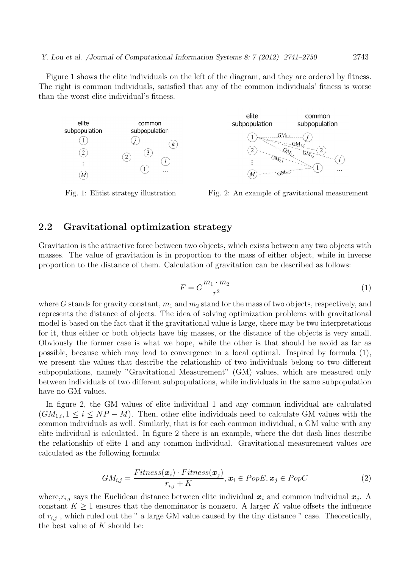Figure 1 shows the elite individuals on the left of the diagram, and they are ordered by fitness. The right is common individuals, satisfied that any of the common individuals' fitness is worse than the worst elite individual's fitness.



Fig. 1: Elitist strategy illustration Fig. 2: An example of gravitational measurement

### **2.2 Gravitational optimization strategy**

Gravitation is the attractive force between two objects, which exists between any two objects with masses. The value of gravitation is in proportion to the mass of either object, while in inverse proportion to the distance of them. Calculation of gravitation can be described as follows:

$$
F = G \frac{m_1 \cdot m_2}{r^2} \tag{1}
$$

where *G* stands for gravity constant,  $m_1$  and  $m_2$  stand for the mass of two objects, respectively, and represents the distance of objects. The idea of solving optimization problems with gravitational model is based on the fact that if the gravitational value is large, there may be two interpretations for it, thus either or both objects have big masses, or the distance of the objects is very small. Obviously the former case is what we hope, while the other is that should be avoid as far as possible, because which may lead to convergence in a local optimal. Inspired by formula (1), we present the values that describe the relationship of two individuals belong to two different subpopulations, namely "Gravitational Measurement" (GM) values, which are measured only between individuals of two different subpopulations, while individuals in the same subpopulation have no GM values.

In figure 2, the GM values of elite individual 1 and any common individual are calculated  $(GM_{1,i}, 1 \leq i \leq NP - M)$ . Then, other elite individuals need to calculate GM values with the common individuals as well. Similarly, that is for each common individual, a GM value with any elite individual is calculated. In figure 2 there is an example, where the dot dash lines describe the relationship of elite 1 and any common individual. Gravitational measurement values are calculated as the following formula:

$$
GM_{i,j} = \frac{Fitness(\boldsymbol{x}_i) \cdot Fitness(\boldsymbol{x}_j)}{r_{i,j} + K}, \boldsymbol{x}_i \in PopE, \boldsymbol{x}_j \in PopC
$$
 (2)

where,  $r_{i,j}$  says the Euclidean distance between elite individual  $x_i$  and common individual  $x_j$ . A constant  $K \geq 1$  ensures that the denominator is nonzero. A larger K value offsets the influence of  $r_{i,j}$ , which ruled out the " a large GM value caused by the tiny distance " case. Theoretically, the best value of *K* should be: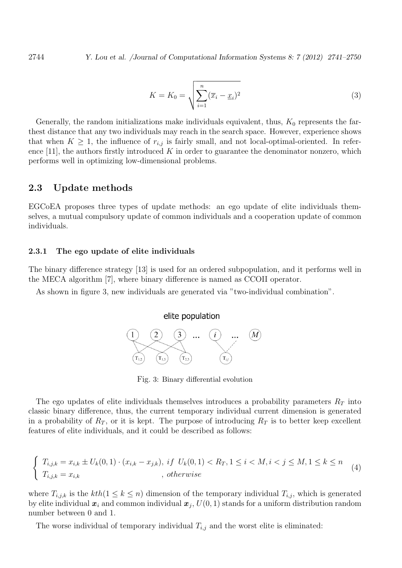$$
K = K_0 = \sqrt{\sum_{i=1}^n (\overline{x}_i - \underline{x}_i)^2}
$$
\n(3)

Generally, the random initializations make individuals equivalent, thus,  $K_0$  represents the farthest distance that any two individuals may reach in the search space. However, experience shows that when  $K \geq 1$ , the influence of  $r_{i,j}$  is fairly small, and not local-optimal-oriented. In reference  $[11]$ , the authors firstly introduced K in order to guarantee the denominator nonzero, which performs well in optimizing low-dimensional problems.

### **2.3 Update methods**

EGCoEA proposes three types of update methods: an ego update of elite individuals themselves, a mutual compulsory update of common individuals and a cooperation update of common individuals.

#### **2.3.1 The ego update of elite individuals**

The binary difference strategy [13] is used for an ordered subpopulation, and it performs well in the MECA algorithm [7], where binary difference is named as CCOII operator.

As shown in figure 3, new individuals are generated via "two-individual combination".

#### elite population



Fig. 3: Binary differential evolution

The ego updates of elite individuals themselves introduces a probability parameters *R<sup>T</sup>* into classic binary difference, thus, the current temporary individual current dimension is generated in a probability of  $R_T$ , or it is kept. The purpose of introducing  $R_T$  is to better keep excellent features of elite individuals, and it could be described as follows:

$$
\begin{cases}\nT_{i,j,k} = x_{i,k} \pm U_k(0,1) \cdot (x_{i,k} - x_{j,k}), & \text{if } U_k(0,1) < R_T, 1 \le i < M, i < j \le M, 1 \le k \le n \\
T_{i,j,k} = x_{i,k}, & \text{otherwise}\n\end{cases}\n\tag{4}
$$

where  $T_{i,j,k}$  is the  $kth(1 \leq k \leq n)$  dimension of the temporary individual  $T_{i,j}$ , which is generated by elite individual  $\boldsymbol{x}_i$  and common individual  $\boldsymbol{x}_j$ ,  $U(0,1)$  stands for a uniform distribution random number between 0 and 1.

The worse individual of temporary individual *Ti,j* and the worst elite is eliminated: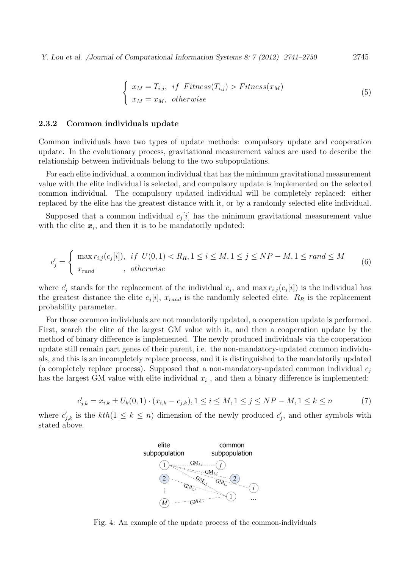*Y. Lou et al. /Journal of Computational Information Systems 8: 7 (2012) 2741–2750* 2745

$$
\begin{cases}\n x_M = T_{i,j}, & if \text{ Fitness}(T_{i,j}) > \text{Fitness}(x_M) \\
 x_M = x_M, & otherwise\n\end{cases}
$$
\n(5)

#### **2.3.2 Common individuals update**

Common individuals have two types of update methods: compulsory update and cooperation update. In the evolutionary process, gravitational measurement values are used to describe the relationship between individuals belong to the two subpopulations.

For each elite individual, a common individual that has the minimum gravitational measurement value with the elite individual is selected, and compulsory update is implemented on the selected common individual. The compulsory updated individual will be completely replaced: either replaced by the elite has the greatest distance with it, or by a randomly selected elite individual.

Supposed that a common individual  $c_j[i]$  has the minimum gravitational measurement value with the elite  $x_i$ , and then it is to be mandatorily updated:

$$
c'_{j} = \begin{cases} \max r_{i,j}(c_{j}[i]), & if \ U(0,1) < R_R, 1 \le i \le M, 1 \le j \le NP - M, 1 \le rand \le M\\ x_{rand}, & otherwise \end{cases} \tag{6}
$$

where  $c'_{j}$  stands for the replacement of the individual  $c_{j}$ , and max  $r_{i,j}(c_{j}[i])$  is the individual has the greatest distance the elite  $c_j[i]$ ,  $x_{rand}$  is the randomly selected elite.  $R_R$  is the replacement probability parameter.

For those common individuals are not mandatorily updated, a cooperation update is performed. First, search the elite of the largest GM value with it, and then a cooperation update by the method of binary difference is implemented. The newly produced individuals via the cooperation update still remain part genes of their parent, i.e. the non-mandatory-updated common individuals, and this is an incompletely replace process, and it is distinguished to the mandatorily updated (a completely replace process). Supposed that a non-mandatory-updated common individual *c<sup>j</sup>* has the largest GM value with elite individual  $x_i$ , and then a binary difference is implemented:

$$
c'_{j,k} = x_{i,k} \pm U_k(0,1) \cdot (x_{i,k} - c_{j,k}), 1 \le i \le M, 1 \le j \le NP - M, 1 \le k \le n
$$
 (7)

where  $c'_{j,k}$  is the  $kth(1 \leq k \leq n)$  dimension of the newly produced  $c'_{j}$ , and other symbols with stated above.



Fig. 4: An example of the update process of the common-individuals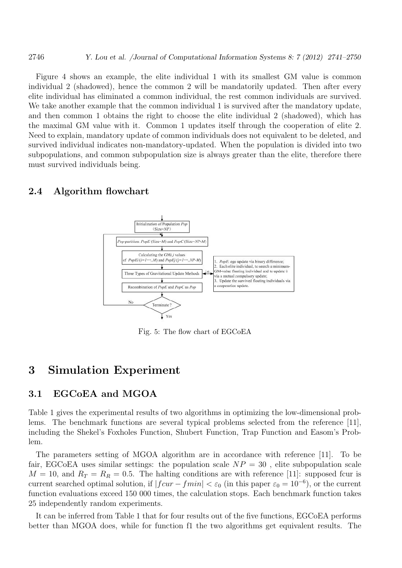Figure 4 shows an example, the elite individual 1 with its smallest GM value is common individual 2 (shadowed), hence the common 2 will be mandatorily updated. Then after every elite individual has eliminated a common individual, the rest common individuals are survived. We take another example that the common individual 1 is survived after the mandatory update, and then common 1 obtains the right to choose the elite individual 2 (shadowed), which has the maximal GM value with it. Common 1 updates itself through the cooperation of elite 2. Need to explain, mandatory update of common individuals does not equivalent to be deleted, and survived individual indicates non-mandatory-updated. When the population is divided into two subpopulations, and common subpopulation size is always greater than the elite, therefore there must survived individuals being.

### **2.4 Algorithm flowchart**



Fig. 5: The flow chart of EGCoEA

## **3 Simulation Experiment**

### **3.1 EGCoEA and MGOA**

Table 1 gives the experimental results of two algorithms in optimizing the low-dimensional problems. The benchmark functions are several typical problems selected from the reference [11], including the Shekel's Foxholes Function, Shubert Function, Trap Function and Easom's Problem.

The parameters setting of MGOA algorithm are in accordance with reference [11]. To be fair, EGCoEA uses similar settings: the population scale  $NP = 30$ , elite subpopulation scale  $M = 10$ , and  $R_T = R_R = 0.5$ . The halting conditions are with reference [11]: supposed fcur is current searched optimal solution, if  $|f \circ \text{cur} - f \circ \text{min}| < \varepsilon_0$  (in this paper  $\varepsilon_0 = 10^{-6}$ ), or the current function evaluations exceed 150 000 times, the calculation stops. Each benchmark function takes 25 independently random experiments.

It can be inferred from Table 1 that for four results out of the five functions, EGCoEA performs better than MGOA does, while for function f1 the two algorithms get equivalent results. The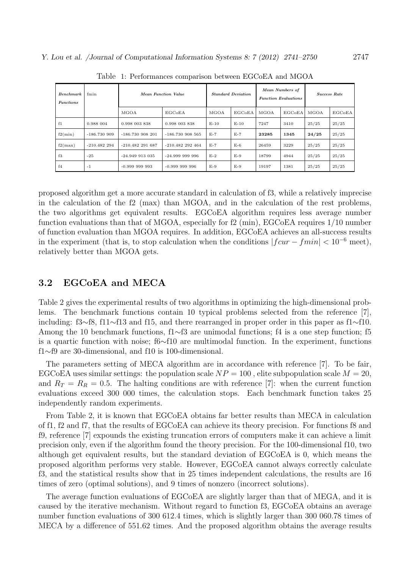| <b>Benchmark</b><br><b>Functions</b> | fmin           | Mean Function Value | <b>Standard Deviation</b> |        | Mean Numbers of<br><b>Function Evaluations</b> |       | Success Rate |       |        |
|--------------------------------------|----------------|---------------------|---------------------------|--------|------------------------------------------------|-------|--------------|-------|--------|
|                                      |                | MGOA                | EGCoEA                    | MGOA   | EGCoEA                                         | MGOA  | EGCoEA       | MGOA  | EGCoEA |
| f1                                   | 0.988 004      | 0.998 003 838       | 0.998 003 838             | $E-10$ | $E-10$                                         | 7247  | 3410         | 25/25 | 25/25  |
| f2(min)                              | $-186.7309909$ | $-186.730908201$    | $-186.730908565$          | $E-7$  | $E-7$                                          | 23285 | 1345         | 24/25 | 25/25  |
| f2(max)                              | $-210.482294$  | $-210.482291687$    | $-210.482292464$          | $E-7$  | $E-6$                                          | 26459 | 3229         | 25/25 | 25/25  |
| f3                                   | $-25$          | $-24.949$ 913 035   | $-24.999999996$           | $E-2$  | $E-9$                                          | 18799 | 4944         | 25/25 | 25/25  |
| f <sub>4</sub>                       | $-1$           | $-0.999999993$      | $-0.999999996$            | $E-9$  | $E-9$                                          | 19197 | 1381         | 25/25 | 25/25  |

Table 1: Performances comparison between EGCoEA and MGOA

proposed algorithm get a more accurate standard in calculation of f3, while a relatively imprecise in the calculation of the f2 (max) than MGOA, and in the calculation of the rest problems, the two algorithms get equivalent results. EGCoEA algorithm requires less average number function evaluations than that of MGOA, especially for f2 (min), EGCoEA requires  $1/10$  number of function evaluation than MGOA requires. In addition, EGCoEA achieves an all-success results in the experiment (that is, to stop calculation when the conditions  $|f \text{curl} - f \text{min}| < 10^{-6}$  meet), relatively better than MGOA gets.

### **3.2 EGCoEA and MECA**

Table 2 gives the experimental results of two algorithms in optimizing the high-dimensional problems. The benchmark functions contain 10 typical problems selected from the reference [7], including: f3*∼*f8, f11*∼*f13 and f15, and there rearranged in proper order in this paper as f1*∼*f10. Among the 10 benchmark functions, f1∼f3 are unimodal functions; f4 is a one step function; f5 is a quartic function with noise; f6*∼*f10 are multimodal function. In the experiment, functions f1*∼*f9 are 30-dimensional, and f10 is 100-dimensional.

The parameters setting of MECA algorithm are in accordance with reference [7]. To be fair, EGCoEA uses similar settings: the population scale  $NP = 100$ , elite subpopulation scale  $M = 20$ , and  $R_T = R_R = 0.5$ . The halting conditions are with reference [7]: when the current function evaluations exceed 300 000 times, the calculation stops. Each benchmark function takes 25 independently random experiments.

From Table 2, it is known that EGCoEA obtains far better results than MECA in calculation of f1, f2 and f7, that the results of EGCoEA can achieve its theory precision. For functions f8 and f9, reference [7] expounds the existing truncation errors of computers make it can achieve a limit precision only, even if the algorithm found the theory precision. For the 100-dimensional f10, two although get equivalent results, but the standard deviation of EGCoEA is 0, which means the proposed algorithm performs very stable. However, EGCoEA cannot always correctly calculate f3, and the statistical results show that in 25 times independent calculations, the results are 16 times of zero (optimal solutions), and 9 times of nonzero (incorrect solutions).

The average function evaluations of EGCoEA are slightly larger than that of MEGA, and it is caused by the iterative mechanism. Without regard to function f3, EGCoEA obtains an average number function evaluations of 300 612.4 times, which is slightly larger than 300 060.78 times of MECA by a difference of 551.62 times. And the proposed algorithm obtains the average results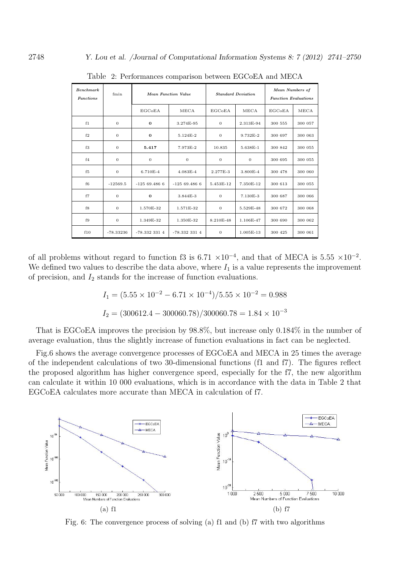| Benchmark<br><b>Functions</b> | fmin         | <b>Mean Function Value</b> |               |                | <b>Standard Deviation</b> | Mean Numbers of<br><b>Function Evaluations</b> |         |  |
|-------------------------------|--------------|----------------------------|---------------|----------------|---------------------------|------------------------------------------------|---------|--|
|                               |              | EGCoEA                     | MECA          | <b>EGCoEA</b>  | MECA                      | <b>EGCoEA</b>                                  | MECA    |  |
| f1                            | $\mathbf{0}$ | $\bf{0}$                   | 3.274E-95     | $\overline{0}$ | 2.313E-94                 | 300 555                                        | 300 057 |  |
| f2                            | $\mathbf{0}$ | $\bf{0}$                   | 5.124E-2      | $\overline{0}$ | 9.732E-2                  | 300 697                                        | 300 063 |  |
| f3                            | $\mathbf{0}$ | 5.417                      | 7.973E-2      | 10.835         | 5.638E-1                  | 300 842                                        | 300 055 |  |
| f <sub>4</sub>                | $\mathbf{0}$ | $\theta$                   | $\mathbf{0}$  | $\overline{0}$ | $\overline{0}$            | 300 695                                        | 300 055 |  |
| f <sub>5</sub>                | $\mathbf{0}$ | 6.710E-4                   | $4.083E - 4$  | 2.277E-3       | 3.800E-4                  | 300 478                                        | 300 060 |  |
| f6                            | $-12569.5$   | $-12569.4866$              | $-12569.4866$ | 5.453E-12      | 7.350E-12                 | 300 613                                        | 300 055 |  |
| f7                            | $\mathbf{0}$ | $\bf{0}$                   | 3.844E-3      | $\overline{0}$ | 7.130E-3                  | 300 687                                        | 300 066 |  |
| f8                            | $\mathbf{0}$ | 1.570E-32                  | 1.571E-32     | $\overline{0}$ | 5.529E-48                 | 300 672                                        | 300 068 |  |
| f9                            | $\mathbf{0}$ | 1.349E-32                  | 1.350E-32     | 8.210E-48      | 1.106E-47                 | 300 690                                        | 300 062 |  |
| f10                           | $-78.33236$  | $-78.3323314$              | $-78.3323314$ | $\mathbf{0}$   | 1.005E-13                 | 300 425                                        | 300 061 |  |

Table 2: Performances comparison between EGCoEA and MECA

of all problems without regard to function f3 is  $6.71 \times 10^{-4}$ , and that of MECA is  $5.55 \times 10^{-2}$ . We defined two values to describe the data above, where  $I_1$  is a value represents the improvement of precision, and *I*<sup>2</sup> stands for the increase of function evaluations.

$$
I_1 = (5.55 \times 10^{-2} - 6.71 \times 10^{-4}) / 5.55 \times 10^{-2} = 0.988
$$

$$
I_2 = (300612.4 - 300060.78)/300060.78 = 1.84 \times 10^{-3}
$$

That is EGCoEA improves the precision by 98.8%, but increase only 0.184% in the number of average evaluation, thus the slightly increase of function evaluations in fact can be neglected.

Fig.6 shows the average convergence processes of EGCoEA and MECA in 25 times the average of the independent calculations of two 30-dimensional functions (f1 and f7). The figures reflect the proposed algorithm has higher convergence speed, especially for the f7, the new algorithm can calculate it within 10 000 evaluations, which is in accordance with the data in Table 2 that EGCoEA calculates more accurate than MECA in calculation of f7.



Fig. 6: The convergence process of solving (a) f1 and (b) f7 with two algorithms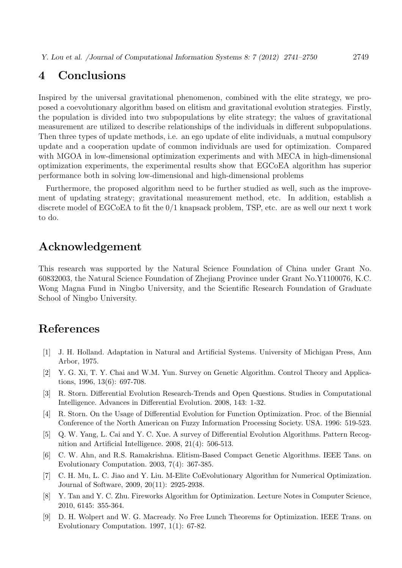## **4 Conclusions**

Inspired by the universal gravitational phenomenon, combined with the elite strategy, we proposed a coevolutionary algorithm based on elitism and gravitational evolution strategies. Firstly, the population is divided into two subpopulations by elite strategy; the values of gravitational measurement are utilized to describe relationships of the individuals in different subpopulations. Then three types of update methods, i.e. an ego update of elite individuals, a mutual compulsory update and a cooperation update of common individuals are used for optimization. Compared with MGOA in low-dimensional optimization experiments and with MECA in high-dimensional optimization experiments, the experimental results show that EGCoEA algorithm has superior performance both in solving low-dimensional and high-dimensional problems

Furthermore, the proposed algorithm need to be further studied as well, such as the improvement of updating strategy; gravitational measurement method, etc. In addition, establish a discrete model of EGCoEA to fit the 0/1 knapsack problem, TSP, etc. are as well our next t work to do.

## **Acknowledgement**

This research was supported by the Natural Science Foundation of China under Grant No. 60832003, the Natural Science Foundation of Zhejiang Province under Grant No.Y1100076, K.C. Wong Magna Fund in Ningbo University, and the Scientific Research Foundation of Graduate School of Ningbo University.

## **References**

- [1] J. H. Holland. Adaptation in Natural and Artificial Systems. University of Michigan Press, Ann Arbor, 1975.
- [2] Y. G. Xi, T. Y. Chai and W.M. Yun. Survey on Genetic Algorithm. Control Theory and Applications, 1996, 13(6): 697-708.
- [3] R. Storn. Differential Evolution Research-Trends and Open Questions. Studies in Computational Intelligence. Advances in Differential Evolution. 2008, 143: 1-32.
- [4] R. Storn. On the Usage of Differential Evolution for Function Optimization. Proc. of the Biennial Conference of the North American on Fuzzy Information Processing Society. USA. 1996: 519-523.
- [5] Q. W. Yang, L. Cai and Y. C. Xue. A survey of Differential Evolution Algorithms. Pattern Recognition and Artificial Intelligence. 2008, 21(4): 506-513.
- [6] C. W. Ahn, and R.S. Ramakrishna. Elitism-Based Compact Genetic Algorithms. IEEE Tans. on Evolutionary Computation. 2003, 7(4): 367-385.
- [7] C. H. Mu, L. C. Jiao and Y. Liu. M-Elite CoEvolutionary Algorithm for Numerical Optimization. Journal of Software, 2009, 20(11): 2925-2938.
- [8] Y. Tan and Y. C. Zhu. Fireworks Algorithm for Optimization. Lecture Notes in Computer Science, 2010, 6145: 355-364.
- [9] D. H. Wolpert and W. G. Macready. No Free Lunch Theorems for Optimization. IEEE Trans. on Evolutionary Computation. 1997, 1(1): 67-82.